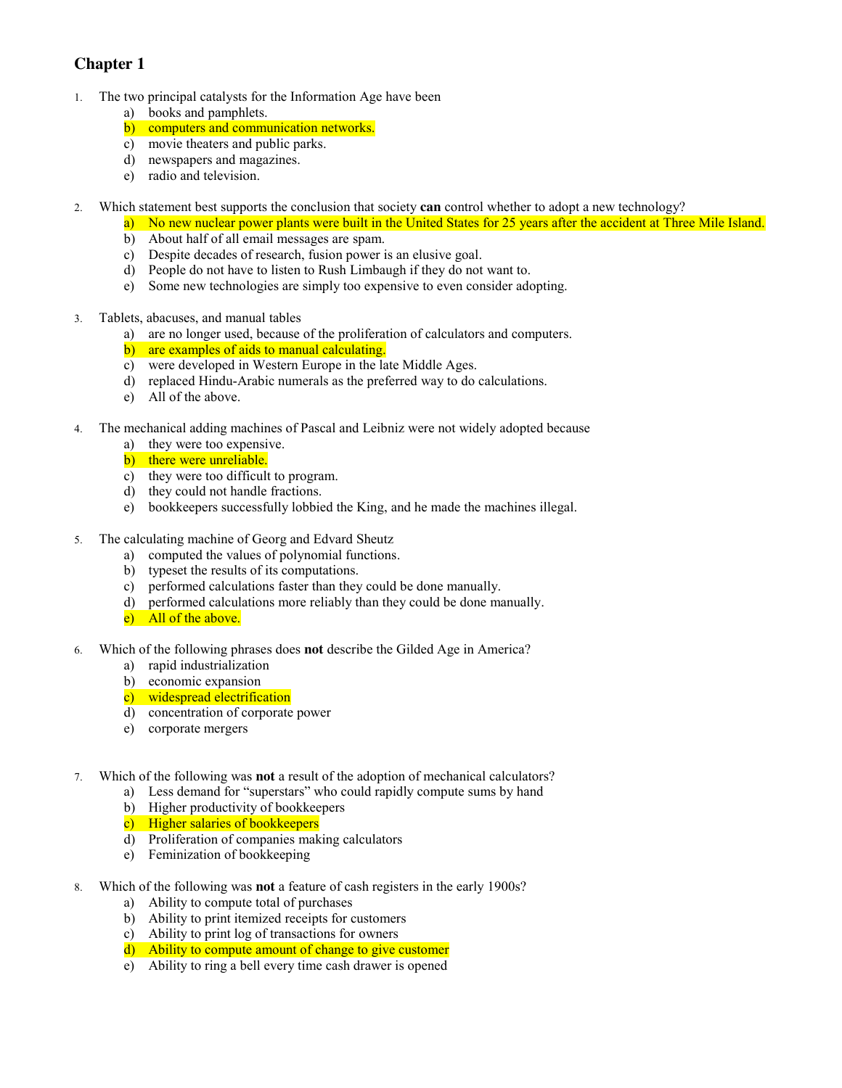## **Chapter 1**

- 1. The two principal catalysts for the Information Age have been
	- a) books and pamphlets.
	- b) computers and communication networks.
	- c) movie theaters and public parks.
	- d) newspapers and magazines.
	- e) radio and television.
- 2. Which statement best supports the conclusion that society **can** control whether to adopt a new technology?
	- a) No new nuclear power plants were built in the United States for 25 years after the accident at Three Mile Island.
		- b) About half of all email messages are spam.
		- c) Despite decades of research, fusion power is an elusive goal.
		- d) People do not have to listen to Rush Limbaugh if they do not want to.
		- e) Some new technologies are simply too expensive to even consider adopting.
- 3. Tablets, abacuses, and manual tables
	- a) are no longer used, because of the proliferation of calculators and computers.
	- b) are examples of aids to manual calculating.
	- c) were developed in Western Europe in the late Middle Ages.
	- d) replaced Hindu-Arabic numerals as the preferred way to do calculations.
	- e) All of the above.
- 4. The mechanical adding machines of Pascal and Leibniz were not widely adopted because
	- a) they were too expensive.
	- b) there were unreliable.
	- c) they were too difficult to program.
	- d) they could not handle fractions.
	- e) bookkeepers successfully lobbied the King, and he made the machines illegal.
- 5. The calculating machine of Georg and Edvard Sheutz
	- a) computed the values of polynomial functions.
	- b) typeset the results of its computations.
	- c) performed calculations faster than they could be done manually.
	- d) performed calculations more reliably than they could be done manually.
	- e) All of the above.
- 6. Which of the following phrases does **not** describe the Gilded Age in America?
	- a) rapid industrialization
	- b) economic expansion
	- c) widespread electrification
	- d) concentration of corporate power
	- e) corporate mergers
- 7. Which of the following was **not** a result of the adoption of mechanical calculators?
	- a) Less demand for "superstars" who could rapidly compute sums by hand
	- b) Higher productivity of bookkeepers
	- c) Higher salaries of bookkeepers
	- d) Proliferation of companies making calculators
	- e) Feminization of bookkeeping
- 8. Which of the following was **not** a feature of cash registers in the early 1900s?
	- a) Ability to compute total of purchases
	- b) Ability to print itemized receipts for customers
	- c) Ability to print log of transactions for owners
	- d) Ability to compute amount of change to give customer
	- e) Ability to ring a bell every time cash drawer is opened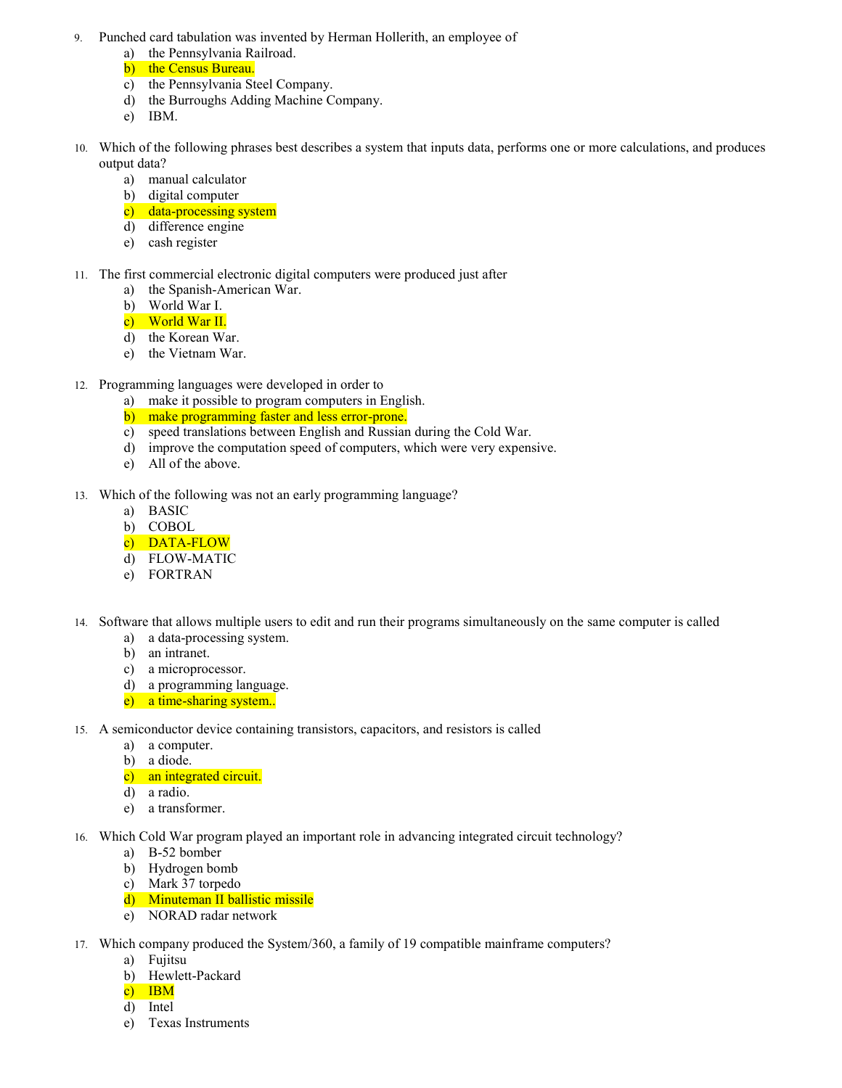- 9. Punched card tabulation was invented by Herman Hollerith, an employee of
	- a) the Pennsylvania Railroad.
	- b) the Census Bureau.
	- c) the Pennsylvania Steel Company.
	- d) the Burroughs Adding Machine Company.
	- e) IBM.
- 10. Which of the following phrases best describes a system that inputs data, performs one or more calculations, and produces output data?
	- a) manual calculator
	- b) digital computer
	- c) data-processing system
	- d) difference engine
	- e) cash register
- 11. The first commercial electronic digital computers were produced just after
	- a) the Spanish-American War.
	- b) World War I.
	- c) World War II.
	- d) the Korean War.
	- e) the Vietnam War.
- 12. Programming languages were developed in order to
	- a) make it possible to program computers in English.
	- b) make programming faster and less error-prone.
	- c) speed translations between English and Russian during the Cold War.
	- d) improve the computation speed of computers, which were very expensive.
	- e) All of the above.
- 13. Which of the following was not an early programming language?
	- a) BASIC
	- b) COBOL
	- c) DATA-FLOW
	- d) FLOW-MATIC
	- e) FORTRAN
- 14. Software that allows multiple users to edit and run their programs simultaneously on the same computer is called
	- a) a data-processing system.
	- b) an intranet.
	- c) a microprocessor.
	- d) a programming language.
	- e) a time-sharing system..
- 15. A semiconductor device containing transistors, capacitors, and resistors is called
	- a) a computer.
	- b) a diode.
	- c) an integrated circuit.
	- d) a radio.
	- e) a transformer.
- 16. Which Cold War program played an important role in advancing integrated circuit technology?
	- a) B-52 bomber
	- b) Hydrogen bomb
	- c) Mark 37 torpedo
	- d) Minuteman II ballistic missile
	- e) NORAD radar network
- 17. Which company produced the System/360, a family of 19 compatible mainframe computers?
	- a) Fujitsu
	- b) Hewlett-Packard
	- c) IBM
	- d) Intel
	- e) Texas Instruments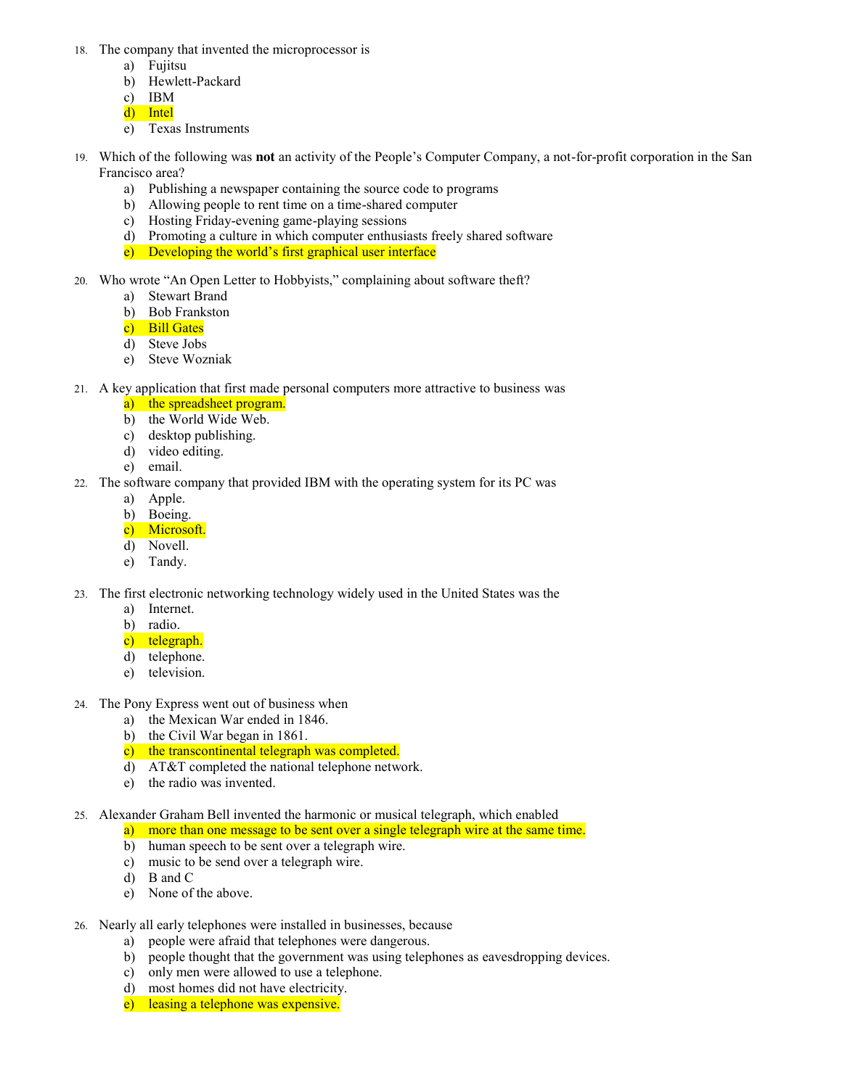- 18. The company that invented the microprocessor is
	- a) Fujitsu
	- b) Hewlett-Packard
	- c) IBM
	- d) Intel
	- e) Texas Instruments
- 19. Which of the following was **not** an activity of the People's Computer Company, a not-for-profit corporation in the San Francisco area?
	- a) Publishing a newspaper containing the source code to programs
	- b) Allowing people to rent time on a time-shared computer
	- c) Hosting Friday-evening game-playing sessions
	- d) Promoting a culture in which computer enthusiasts freely shared software
	- e) Developing the world's first graphical user interface
- 20. Who wrote "An Open Letter to Hobbyists," complaining about software theft?
	- a) Stewart Brand
	- b) Bob Frankston
	- c) Bill Gates
	- d) Steve Jobs
	- e) Steve Wozniak
- 21. A key application that first made personal computers more attractive to business was
	- a) the spreadsheet program.
	- b) the World Wide Web.
	- c) desktop publishing.
	- d) video editing.
	- e) email.
- 22. The software company that provided IBM with the operating system for its PC was
	- a) Apple.
	- b) Boeing.
	- c) Microsoft.
	- d) Novell.
	- e) Tandy.
- 23. The first electronic networking technology widely used in the United States was the
	- a) Internet.
	- b) radio.
	- c) telegraph.
	- d) telephone.
	- e) television.
- 24. The Pony Express went out of business when
	- a) the Mexican War ended in 1846.
	- b) the Civil War began in 1861.
	- c) the transcontinental telegraph was completed.
	- d) AT&T completed the national telephone network.
	- e) the radio was invented.
- 25. Alexander Graham Bell invented the harmonic or musical telegraph, which enabled
	- a) more than one message to be sent over a single telegraph wire at the same time.
		- b) human speech to be sent over a telegraph wire.
		- c) music to be send over a telegraph wire.
	- d) B and C
	- e) None of the above.
- 26. Nearly all early telephones were installed in businesses, because
	- a) people were afraid that telephones were dangerous.
	- b) people thought that the government was using telephones as eavesdropping devices.
	- c) only men were allowed to use a telephone.
	- d) most homes did not have electricity.
	- e) leasing a telephone was expensive.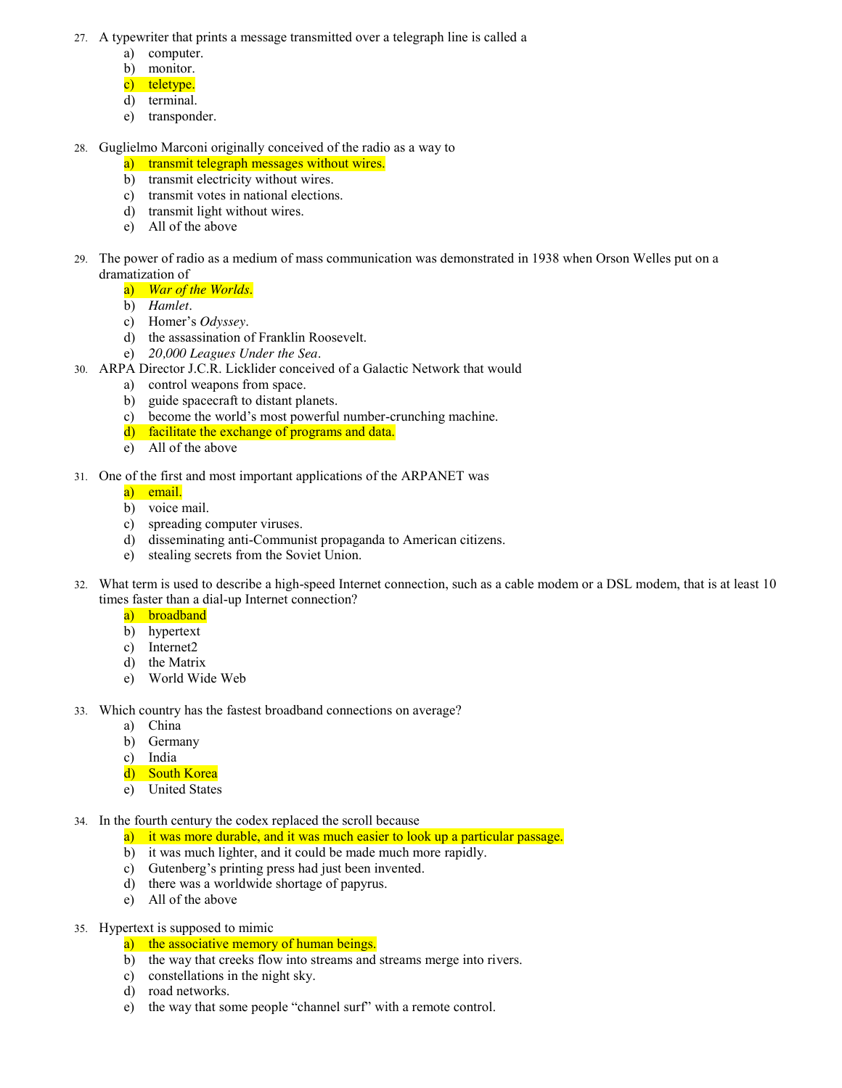- 27. A typewriter that prints a message transmitted over a telegraph line is called a
	- a) computer.
	- b) monitor.
	- c) teletype.
	- d) terminal.
	- e) transponder.
- 28. Guglielmo Marconi originally conceived of the radio as a way to
	- a) transmit telegraph messages without wires.
	- b) transmit electricity without wires.
	- c) transmit votes in national elections.
	- d) transmit light without wires.
	- e) All of the above
- 29. The power of radio as a medium of mass communication was demonstrated in 1938 when Orson Welles put on a dramatization of
	- a) *War of the Worlds*.
	- b) *Hamlet*.
	- c) Homer's *Odyssey*.
	- d) the assassination of Franklin Roosevelt.
	- e) *20,000 Leagues Under the Sea*.
- 30. ARPA Director J.C.R. Licklider conceived of a Galactic Network that would
	- a) control weapons from space.
	- b) guide spacecraft to distant planets.
	- c) become the world's most powerful number-crunching machine.
	- d) facilitate the exchange of programs and data.
	- e) All of the above
- 31. One of the first and most important applications of the ARPANET was
	- a) email.
	- b) voice mail.
	- c) spreading computer viruses.
	- d) disseminating anti-Communist propaganda to American citizens.
	- e) stealing secrets from the Soviet Union.
- 32. What term is used to describe a high-speed Internet connection, such as a cable modem or a DSL modem, that is at least 10 times faster than a dial-up Internet connection?
	- a) broadband
	- b) hypertext
	- c) Internet2
	- d) the Matrix
	- e) World Wide Web
- 33. Which country has the fastest broadband connections on average?
	- a) China
	- b) Germany
	- c) India
	- d) South Korea
	- e) United States
- 34. In the fourth century the codex replaced the scroll because
	- a) it was more durable, and it was much easier to look up a particular passage.
	- b) it was much lighter, and it could be made much more rapidly.
	- c) Gutenberg's printing press had just been invented.
	- d) there was a worldwide shortage of papyrus.
	- e) All of the above
- 35. Hypertext is supposed to mimic
	- a) the associative memory of human beings.
	- b) the way that creeks flow into streams and streams merge into rivers.
	- c) constellations in the night sky.
	- d) road networks.
	- e) the way that some people "channel surf" with a remote control.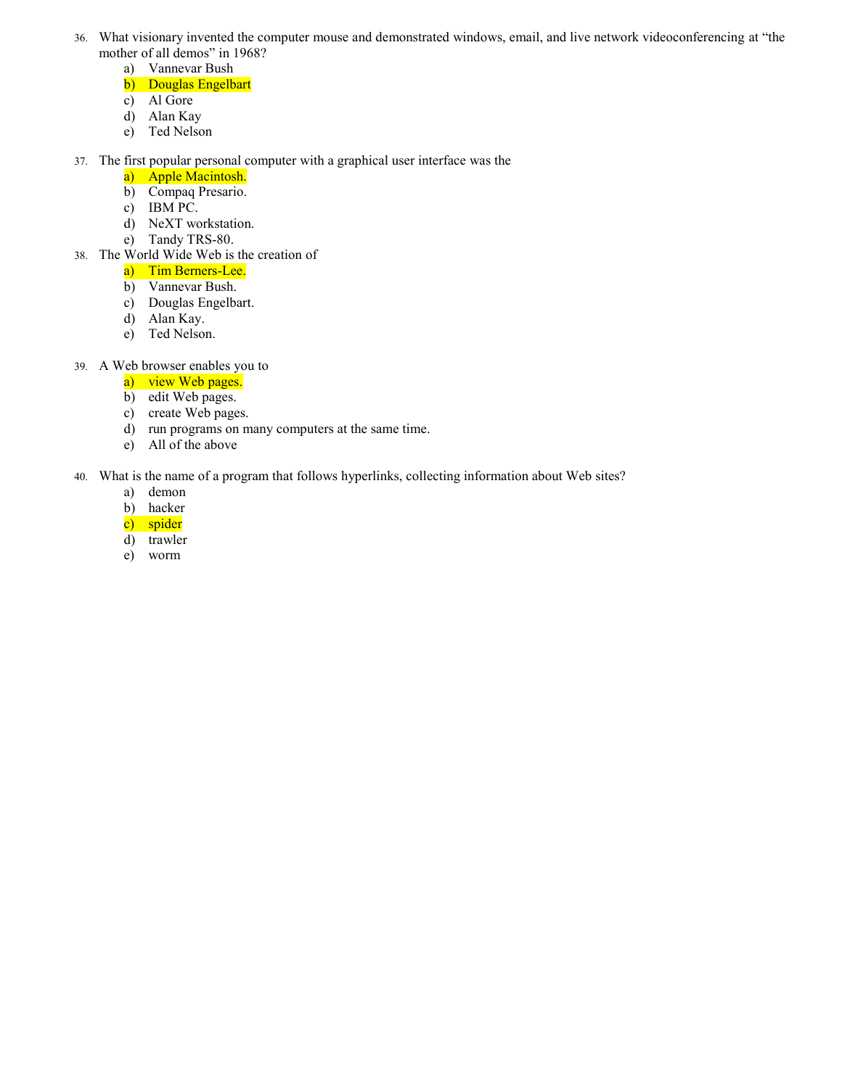- 36. What visionary invented the computer mouse and demonstrated windows, email, and live network videoconferencing at "the mother of all demos" in 1968?
	- a) Vannevar Bush
	- b) Douglas Engelbart
	- c) Al Gore
	- d) Alan Kay
	- e) Ted Nelson
- 37. The first popular personal computer with a graphical user interface was the
	- a) Apple Macintosh.
	- b) Compaq Presario.
	- c) IBM PC.
	- d) NeXT workstation.
	- e) Tandy TRS-80.
- 38. The World Wide Web is the creation of
	- a) Tim Berners-Lee.
	- b) Vannevar Bush.
	- c) Douglas Engelbart.
	- d) Alan Kay.
	- e) Ted Nelson.
- 39. A Web browser enables you to
	- a) view Web pages.
	- b) edit Web pages.
	- c) create Web pages.
	- d) run programs on many computers at the same time.
	- e) All of the above

## 40. What is the name of a program that follows hyperlinks, collecting information about Web sites?

- a) demon
- b) hacker
- c) spider
- d) trawler
- e) worm